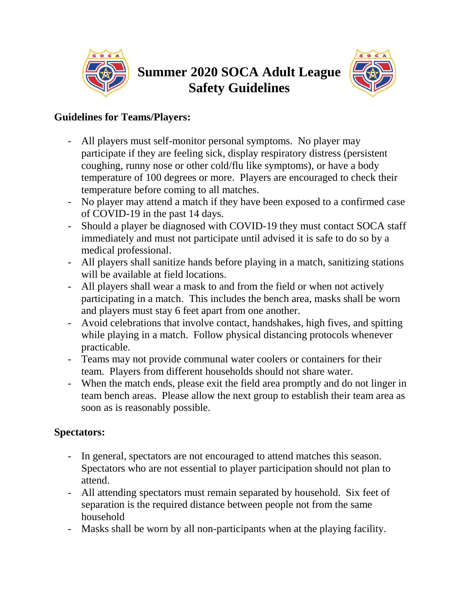

## **Summer 2020 SOCA Adult League Safety Guidelines**



## **Guidelines for Teams/Players:**

- All players must self-monitor personal symptoms. No player may participate if they are feeling sick, display respiratory distress (persistent coughing, runny nose or other cold/flu like symptoms), or have a body temperature of 100 degrees or more. Players are encouraged to check their temperature before coming to all matches.
- No player may attend a match if they have been exposed to a confirmed case of COVID-19 in the past 14 days.
- Should a player be diagnosed with COVID-19 they must contact SOCA staff immediately and must not participate until advised it is safe to do so by a medical professional.
- All players shall sanitize hands before playing in a match, sanitizing stations will be available at field locations.
- All players shall wear a mask to and from the field or when not actively participating in a match. This includes the bench area, masks shall be worn and players must stay 6 feet apart from one another.
- Avoid celebrations that involve contact, handshakes, high fives, and spitting while playing in a match. Follow physical distancing protocols whenever practicable.
- Teams may not provide communal water coolers or containers for their team. Players from different households should not share water.
- When the match ends, please exit the field area promptly and do not linger in team bench areas. Please allow the next group to establish their team area as soon as is reasonably possible.

## **Spectators:**

- In general, spectators are not encouraged to attend matches this season. Spectators who are not essential to player participation should not plan to attend.
- All attending spectators must remain separated by household. Six feet of separation is the required distance between people not from the same household
- Masks shall be worn by all non-participants when at the playing facility.